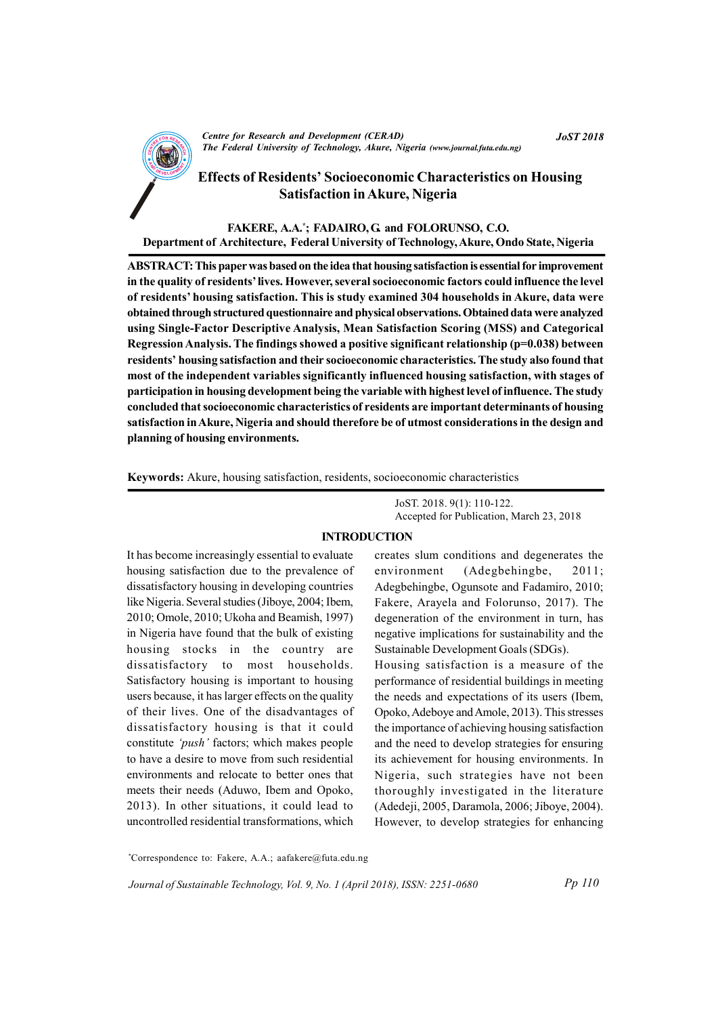

CENTRE FOR RESEARCH AND DEVELOPMENT (CENTRE)<br>The Federal University of Technology, Akure, Nigeria (www.journal.futa.edu.ng) Centre for Research and Development (CERAD)

Effects of Residents' Socioeconomic Characteristics on Housing Satisfaction in Akure, Nigeria

FAKERE, A.A.\*; FADAIRO, G and FOLORUNSO, C.O. Department of Architecture, Federal University of Technology, Akure, Ondo State, Nigeria

ABSTRACT: This paper was based on the idea that housing satisfaction is essential for improvement in the quality of residents' lives. However, several socioeconomic factors could influence the level of residents' housing satisfaction. This is study examined 304 households in Akure, data were obtained through structured questionnaire and physical observations. Obtained data were analyzed using Single-Factor Descriptive Analysis, Mean Satisfaction Scoring (MSS) and Categorical Regression Analysis. The findings showed a positive significant relationship ( $p=0.038$ ) between residents' housing satisfaction and their socioeconomic characteristics. The study also found that most of the independent variables significantly influenced housing satisfaction, with stages of participation in housing development being the variable with highest level of influence. The study concluded that socioeconomic characteristics of residents are important determinants of housing satisfaction in Akure, Nigeria and should therefore be of utmost considerations in the design and planning of housing environments.

Keywords: Akure, housing satisfaction, residents, socioeconomic characteristics

It has become increasingly essential to evaluate housing satisfaction due to the prevalence of dissatisfactory housing in developing countries like Nigeria. Several studies (Jiboye, 2004; Ibem, 2010; Omole, 2010; Ukoha and Beamish, 1997) in Nigeria have found that the bulk of existing housing stocks in the country are dissatisfactory to most households. Satisfactory housing is important to housing users because, it has larger effects on the quality of their lives. One of the disadvantages of dissatisfactory housing is that it could constitute 'push' factors; which makes people to have a desire to move from such residential environments and relocate to better ones that meets their needs (Aduwo, Ibem and Opoko, 2013). In other situations, it could lead to uncontrolled residential transformations, which

JoST. 2018. 9(1): 110-122. Accepted for Publication, March 23, 2018

#### INTRODUCTION

creates slum conditions and degenerates the environment (Adegbehingbe, 2011; Adegbehingbe, Ogunsote and Fadamiro, 2010; Fakere, Arayela and Folorunso, 2017). The degeneration of the environment in turn, has negative implications for sustainability and the Sustainable Development Goals (SDGs).

Housing satisfaction is a measure of the performance of residential buildings in meeting the needs and expectations of its users (Ibem, Opoko, Adeboye and Amole, 2013). This stresses the importance of achieving housing satisfaction and the need to develop strategies for ensuring its achievement for housing environments. In Nigeria, such strategies have not been thoroughly investigated in the literature (Adedeji, 2005, Daramola, 2006; Jiboye, 2004). However, to develop strategies for enhancing

\*Correspondence to: Fakere, A.A.; aafakere@futa.edu.ng

Journal of Sustainable Technology, Vol. 9, No. 1 (April 2018), ISSN: 2251-0680

JoST 2018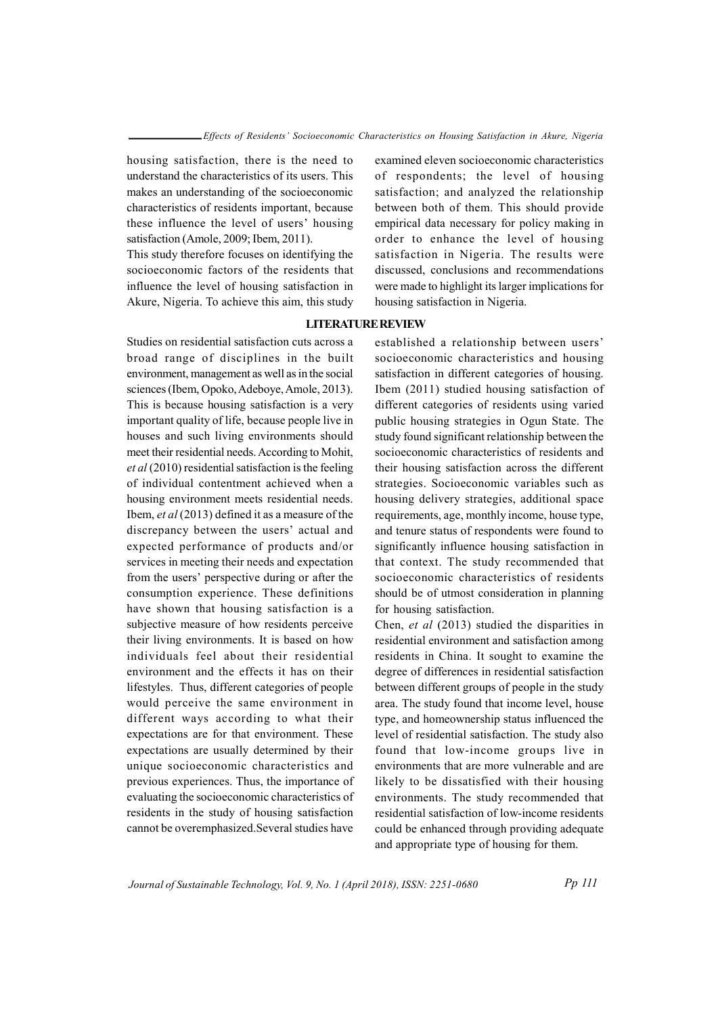housing satisfaction, there is the need to understand the characteristics of its users. This makes an understanding of the socioeconomic characteristics of residents important, because these influence the level of users' housing satisfaction (Amole, 2009; Ibem, 2011).

This study therefore focuses on identifying the socioeconomic factors of the residents that influence the level of housing satisfaction in Akure, Nigeria. To achieve this aim, this study

examined eleven socioeconomic characteristics of respondents; the level of housing satisfaction; and analyzed the relationship between both of them. This should provide empirical data necessary for policy making in order to enhance the level of housing satisfaction in Nigeria. The results were discussed, conclusions and recommendations were made to highlight its larger implications for housing satisfaction in Nigeria.

## LITERATURE REVIEW

Studies on residential satisfaction cuts across a broad range of disciplines in the built environment, management as well as in the social sciences (Ibem, Opoko, Adeboye, Amole, 2013). This is because housing satisfaction is a very important quality of life, because people live in houses and such living environments should meet their residential needs. According to Mohit, et al (2010) residential satisfaction is the feeling of individual contentment achieved when a housing environment meets residential needs. Ibem, et al (2013) defined it as a measure of the discrepancy between the users' actual and expected performance of products and/or services in meeting their needs and expectation from the users' perspective during or after the consumption experience. These definitions have shown that housing satisfaction is a subjective measure of how residents perceive their living environments. It is based on how individuals feel about their residential environment and the effects it has on their lifestyles. Thus, different categories of people would perceive the same environment in different ways according to what their expectations are for that environment. These expectations are usually determined by their unique socioeconomic characteristics and previous experiences. Thus, the importance of evaluating the socioeconomic characteristics of residents in the study of housing satisfaction cannot be overemphasized.Several studies have

established a relationship between users' socioeconomic characteristics and housing satisfaction in different categories of housing. Ibem (2011) studied housing satisfaction of different categories of residents using varied public housing strategies in Ogun State. The study found significant relationship between the socioeconomic characteristics of residents and their housing satisfaction across the different strategies. Socioeconomic variables such as housing delivery strategies, additional space requirements, age, monthly income, house type, and tenure status of respondents were found to significantly influence housing satisfaction in that context. The study recommended that socioeconomic characteristics of residents should be of utmost consideration in planning for housing satisfaction.

Chen, et al (2013) studied the disparities in residential environment and satisfaction among residents in China. It sought to examine the degree of differences in residential satisfaction between different groups of people in the study area. The study found that income level, house type, and homeownership status influenced the level of residential satisfaction. The study also found that low-income groups live in environments that are more vulnerable and are likely to be dissatisfied with their housing environments. The study recommended that residential satisfaction of low-income residents could be enhanced through providing adequate and appropriate type of housing for them.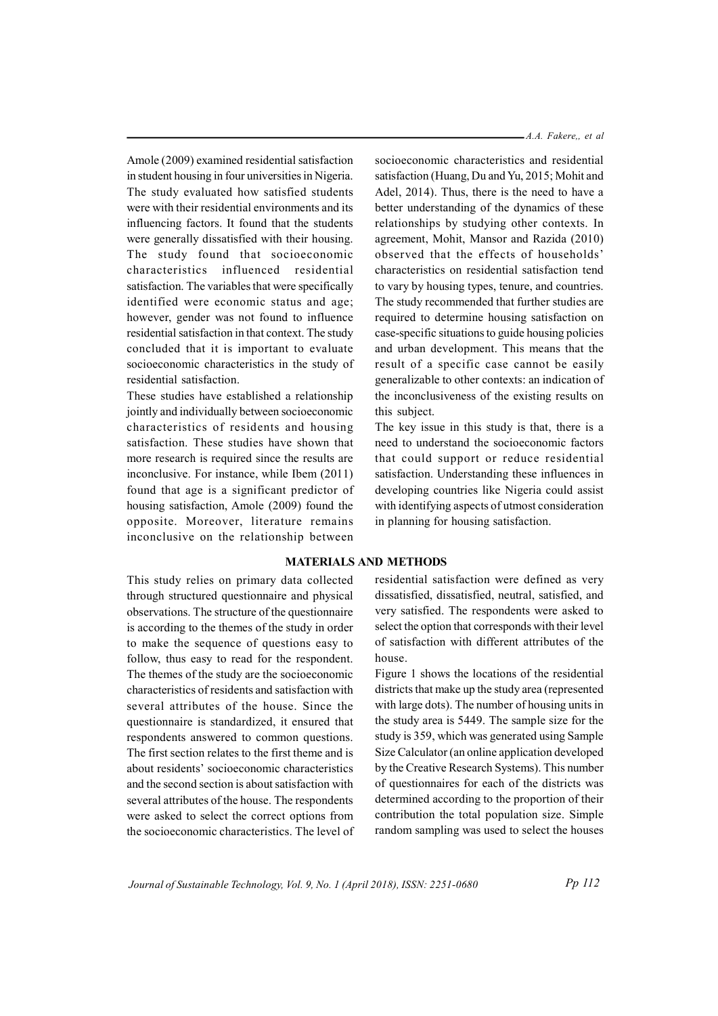Amole (2009) examined residential satisfaction in student housing in four universities in Nigeria. The study evaluated how satisfied students were with their residential environments and its influencing factors. It found that the students were generally dissatisfied with their housing. The study found that socioeconomic characteristics influenced residential satisfaction. The variables that were specifically identified were economic status and age; however, gender was not found to influence residential satisfaction in that context. The study concluded that it is important to evaluate socioeconomic characteristics in the study of residential satisfaction.

These studies have established a relationship jointly and individually between socioeconomic characteristics of residents and housing satisfaction. These studies have shown that more research is required since the results are inconclusive. For instance, while Ibem (2011) found that age is a significant predictor of housing satisfaction, Amole (2009) found the opposite. Moreover, literature remains inconclusive on the relationship between A.A. Fakere,, et al

socioeconomic characteristics and residential satisfaction (Huang, Du and Yu, 2015; Mohit and Adel, 2014). Thus, there is the need to have a better understanding of the dynamics of these relationships by studying other contexts. In agreement, Mohit, Mansor and Razida (2010) observed that the effects of households' characteristics on residential satisfaction tend to vary by housing types, tenure, and countries. The study recommended that further studies are required to determine housing satisfaction on case-specific situations to guide housing policies and urban development. This means that the result of a specific case cannot be easily generalizable to other contexts: an indication of the inconclusiveness of the existing results on this subject.

The key issue in this study is that, there is a need to understand the socioeconomic factors that could support or reduce residential satisfaction. Understanding these influences in developing countries like Nigeria could assist with identifying aspects of utmost consideration in planning for housing satisfaction.

### MATERIALS AND METHODS

This study relies on primary data collected through structured questionnaire and physical observations. The structure of the questionnaire is according to the themes of the study in order to make the sequence of questions easy to follow, thus easy to read for the respondent. The themes of the study are the socioeconomic characteristics of residents and satisfaction with several attributes of the house. Since the questionnaire is standardized, it ensured that respondents answered to common questions. The first section relates to the first theme and is about residents' socioeconomic characteristics and the second section is about satisfaction with several attributes of the house. The respondents were asked to select the correct options from the socioeconomic characteristics. The level of residential satisfaction were defined as very dissatisfied, dissatisfied, neutral, satisfied, and very satisfied. The respondents were asked to select the option that corresponds with their level of satisfaction with different attributes of the house.

Figure 1 shows the locations of the residential districts that make up the study area (represented with large dots). The number of housing units in the study area is 5449. The sample size for the study is 359, which was generated using Sample Size Calculator (an online application developed by the Creative Research Systems). This number of questionnaires for each of the districts was determined according to the proportion of their contribution the total population size. Simple random sampling was used to select the houses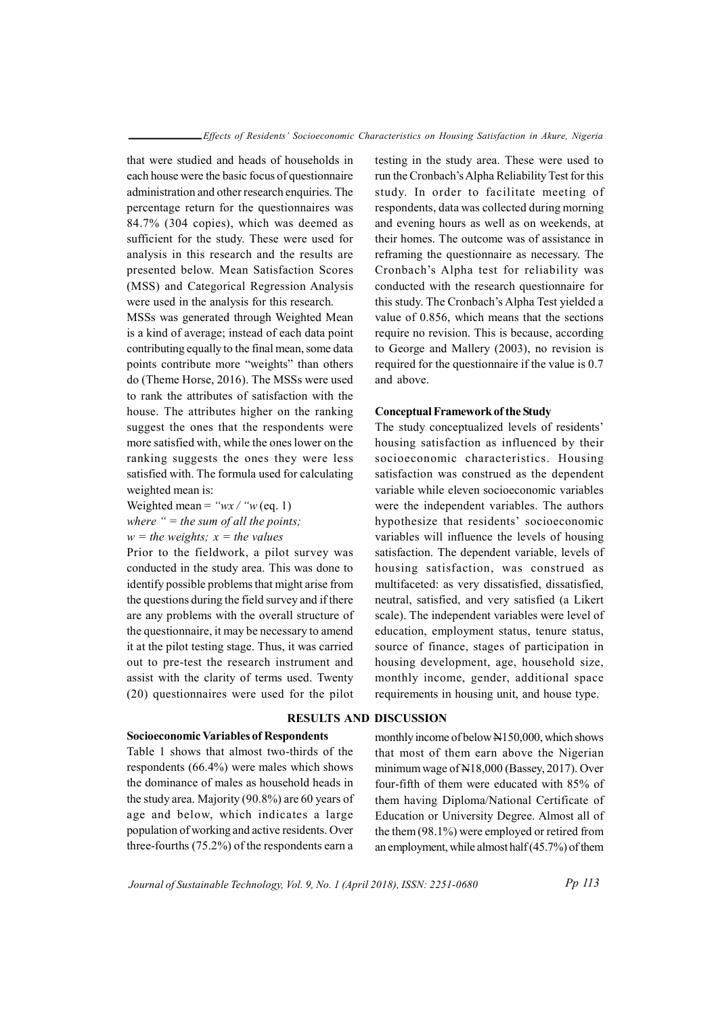that were studied and heads of households in each house were the basic focus of questionnaire administration and other research enquiries. The percentage return for the questionnaires was 84.7% (304 copies), which was deemed as sufficient for the study. These were used for analysis in this research and the results are presented below. Mean Satisfaction Scores (MSS) and Categorical Regression Analysis were used in the analysis for this research.

MSSs was generated through Weighted Mean is a kind of average; instead of each data point contributing equally to the final mean, some data points contribute more "weights" than others do (Theme Horse, 2016). The MSSs were used to rank the attributes of satisfaction with the house. The attributes higher on the ranking suggest the ones that the respondents were more satisfied with, while the ones lower on the ranking suggests the ones they were less satisfied with. The formula used for calculating weighted mean is:

Weighted mean = " $wx'$ " (eq. 1)

where " = the sum of all the points;  $w =$  the weights;  $x =$  the values

Prior to the fieldwork, a pilot survey was conducted in the study area. This was done to identify possible problems that might arise from the questions during the field survey and if there are any problems with the overall structure of the questionnaire, it may be necessary to amend it at the pilot testing stage. Thus, it was carried out to pre-test the research instrument and assist with the clarity of terms used. Twenty (20) questionnaires were used for the pilot

testing in the study area. These were used to run the Cronbach's Alpha Reliability Test for this study. In order to facilitate meeting of respondents, data was collected during morning and evening hours as well as on weekends, at their homes. The outcome was of assistance in reframing the questionnaire as necessary. The Cronbach's Alpha test for reliability was conducted with the research questionnaire for this study. The Cronbach's Alpha Test yielded a value of 0.856, which means that the sections require no revision. This is because, according to George and Mallery (2003), no revision is required for the questionnaire if the value is 0.7 and above.

#### Conceptual Framework of the Study

The study conceptualized levels of residents' housing satisfaction as influenced by their socioeconomic characteristics. Housing satisfaction was construed as the dependent variable while eleven socioeconomic variables were the independent variables. The authors hypothesize that residents' socioeconomic variables will influence the levels of housing satisfaction. The dependent variable, levels of housing satisfaction, was construed as multifaceted: as very dissatisfied, dissatisfied, neutral, satisfied, and very satisfied (a Likert scale). The independent variables were level of education, employment status, tenure status, source of finance, stages of participation in housing development, age, household size, monthly income, gender, additional space requirements in housing unit, and house type.

# RESULTS AND DISCUSSION

### Socioeconomic Variables of Respondents

Table 1 shows that almost two-thirds of the respondents (66.4%) were males which shows the dominance of males as household heads in the study area. Majority (90.8%) are 60 years of age and below, which indicates a large population of working and active residents. Over three-fourths (75.2%) of the respondents earn a

monthly income of below N150,000, which shows that most of them earn above the Nigerian minimum wage of N18,000 (Bassey, 2017). Over four-fifth of them were educated with 85% of them having Diploma/National Certificate of Education or University Degree. Almost all of the them (98.1%) were employed or retired from an employment, while almost half (45.7%) of them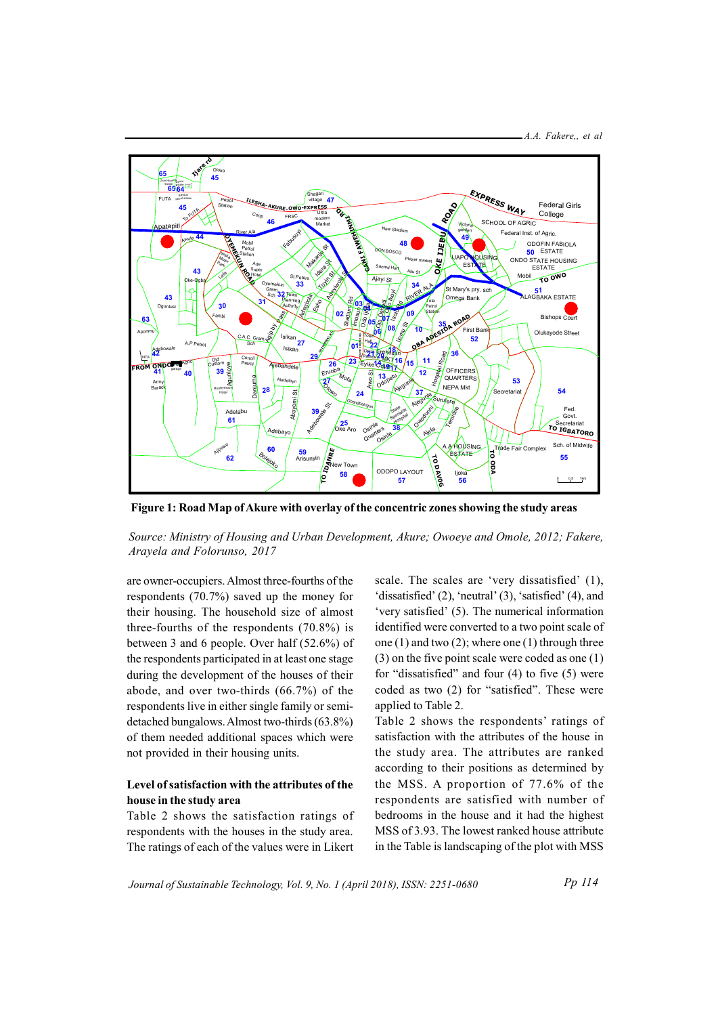

Figure 1: Road Map of Akure with overlay of the concentric zones showing the study areas

Source: Ministry of Housing and Urban Development, Akure; Owoeye and Omole, 2012; Fakere, Arayela and Folorunso, 2017

are owner-occupiers. Almost three-fourths of the respondents (70.7%) saved up the money for their housing. The household size of almost three-fourths of the respondents (70.8%) is between 3 and 6 people. Over half (52.6%) of the respondents participated in at least one stage during the development of the houses of their abode, and over two-thirds (66.7%) of the respondents live in either single family or semidetached bungalows. Almost two-thirds (63.8%) of them needed additional spaces which were not provided in their housing units.

### Level of satisfaction with the attributes of the house in the study area

Table 2 shows the satisfaction ratings of respondents with the houses in the study area. The ratings of each of the values were in Likert

scale. The scales are 'very dissatisfied' (1), 'dissatisfied' (2), 'neutral' (3), 'satisfied' (4), and 'very satisfied' (5). The numerical information identified were converted to a two point scale of one  $(1)$  and two  $(2)$ ; where one  $(1)$  through three (3) on the five point scale were coded as one (1) for "dissatisfied" and four (4) to five (5) were coded as two (2) for "satisfied". These were applied to Table 2.

Table 2 shows the respondents' ratings of satisfaction with the attributes of the house in the study area. The attributes are ranked according to their positions as determined by the MSS. A proportion of 77.6% of the respondents are satisfied with number of bedrooms in the house and it had the highest MSS of 3.93. The lowest ranked house attribute in the Table is landscaping of the plot with MSS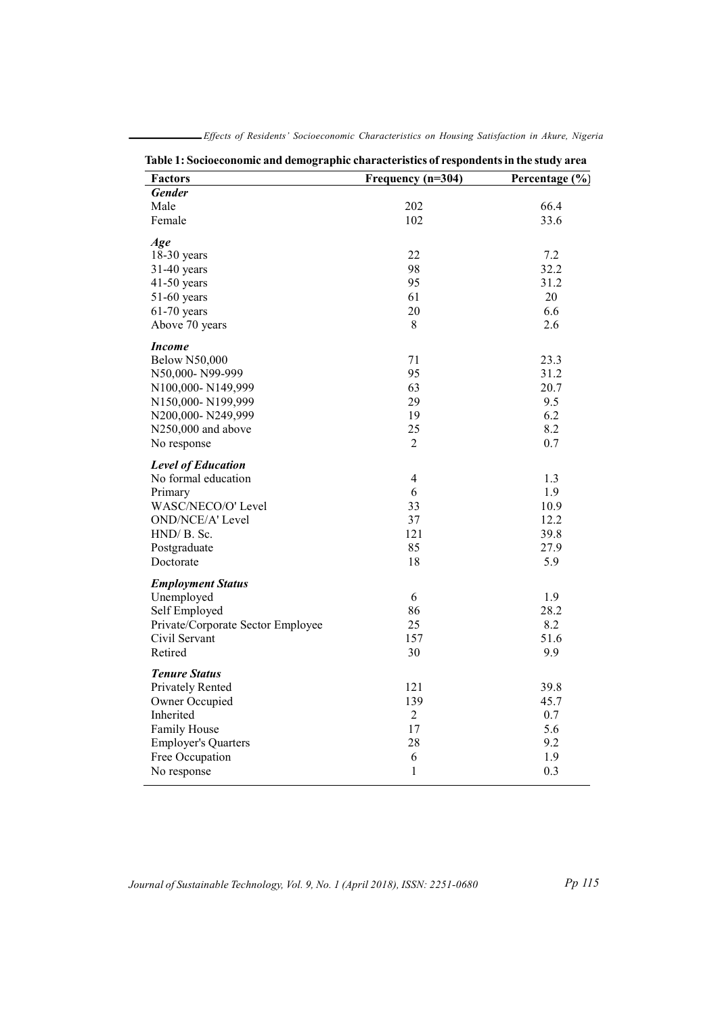| <b>Factors</b>                    | Frequency (n=304) | Percentage (%) |
|-----------------------------------|-------------------|----------------|
| <b>Gender</b>                     |                   |                |
| Male                              | 202               | 66.4           |
| Female                            | 102               | 33.6           |
| Age                               |                   |                |
| 18-30 years                       | 22                | 7.2            |
| 31-40 years                       | 98                | 32.2           |
| $41-50$ years                     | 95                | 31.2           |
| 51-60 years                       | 61                | 20             |
| $61-70$ years                     | $20\,$            | 6.6            |
| Above 70 years                    | $8\,$             | 2.6            |
| <b>Income</b>                     |                   |                |
| <b>Below N50,000</b>              | 71                | 23.3           |
| N50,000-N99-999                   | 95                | 31.2           |
| N100,000-N149,999                 | 63                | 20.7           |
| N150,000-N199,999                 | 29                | 9.5            |
| N200,000-N249,999                 | 19                | 6.2            |
| N250,000 and above                | 25                | 8.2            |
| No response                       | $\overline{2}$    | 0.7            |
| <b>Level of Education</b>         |                   |                |
| No formal education               | $\overline{4}$    | 1.3            |
| Primary                           | $\sqrt{6}$        | 1.9            |
| WASC/NECO/O' Level                | 33                | 10.9           |
| OND/NCE/A' Level                  | 37                | 12.2           |
| $HND/B.$ Sc.                      | 121               | 39.8           |
| Postgraduate                      | 85                | 27.9           |
| Doctorate                         | 18                | 5.9            |
| <b>Employment Status</b>          |                   |                |
| Unemployed                        | 6                 | 1.9            |
| Self Employed                     | 86                | 28.2           |
| Private/Corporate Sector Employee | 25                | 8.2            |
| Civil Servant                     | 157               | 51.6           |
| Retired                           | 30                | 9.9            |
| <b>Tenure Status</b>              |                   |                |
| Privately Rented                  | 121               | 39.8           |
| Owner Occupied                    | 139               | 45.7           |
| Inherited                         | $\overline{2}$    | 0.7            |
| Family House                      | 17                | 5.6            |
| <b>Employer's Quarters</b>        | 28                | 9.2            |
| Free Occupation                   | $\sqrt{6}$        | 1.9            |
| No response                       | $\mathbf{1}$      | 0.3            |
|                                   |                   |                |

Effects of Residents' Socioeconomic Characteristics on Housing Satisfaction in Akure, Nigeria

Journal of Sustainable Technology, Vol. 9, No. 1 (April 2018), ISSN: 2251-0680

Pp 115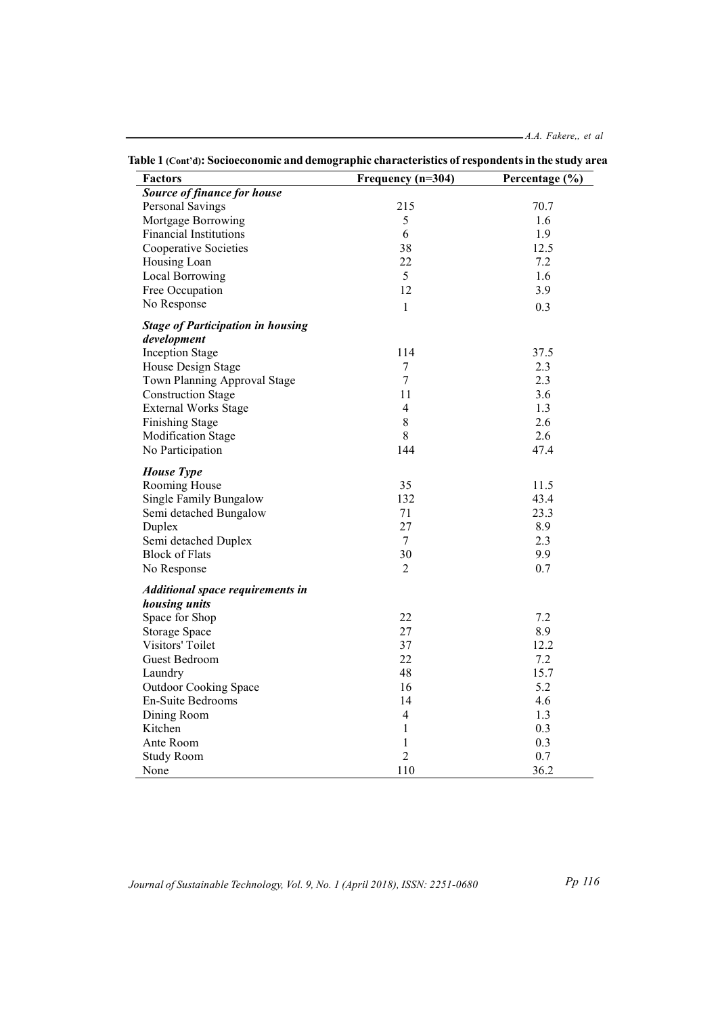| <b>Factors</b>                           | Frequency (n=304) | Percentage (%) |
|------------------------------------------|-------------------|----------------|
| Source of finance for house              |                   |                |
| Personal Savings                         | 215               | 70.7           |
| Mortgage Borrowing                       | 5                 | 1.6            |
| <b>Financial Institutions</b>            | 6                 | 1.9            |
| Cooperative Societies                    | 38                | 12.5           |
| Housing Loan                             | 22                | 7.2            |
| <b>Local Borrowing</b>                   | 5                 | 1.6            |
| Free Occupation                          | 12                | 3.9            |
| No Response                              | 1                 | 0.3            |
| <b>Stage of Participation in housing</b> |                   |                |
| development                              |                   |                |
| <b>Inception Stage</b>                   | 114               | 37.5           |
| House Design Stage                       | 7                 | 2.3            |
| Town Planning Approval Stage             | $\tau$            | 2.3            |
| <b>Construction Stage</b>                | 11                | 3.6            |
| <b>External Works Stage</b>              | $\overline{4}$    | 1.3            |
| Finishing Stage                          | $\,8\,$           | 2.6            |
| Modification Stage                       | 8                 | 2.6            |
| No Participation                         | 144               | 47.4           |
| <b>House Type</b>                        |                   |                |
| Rooming House                            | 35                | 11.5           |
| Single Family Bungalow                   | 132               | 43.4           |
| Semi detached Bungalow                   | 71                | 23.3           |
| Duplex                                   | 27                | 8.9            |
| Semi detached Duplex                     | $\tau$            | 2.3            |
| <b>Block of Flats</b>                    | 30                | 9.9            |
| No Response                              | $\overline{2}$    | 0.7            |
| <b>Additional space requirements in</b>  |                   |                |
| housing units                            |                   |                |
| Space for Shop                           | 22                | 7.2            |
| <b>Storage Space</b>                     | 27                | 8.9            |
| Visitors' Toilet                         | 37                | 12.2           |
| Guest Bedroom                            | 22                | 7.2            |
| Laundry                                  | 48                | 15.7           |
| <b>Outdoor Cooking Space</b>             | 16                | 5.2            |
| En-Suite Bedrooms                        | 14                | 4.6            |
| Dining Room                              | $\overline{4}$    | 1.3            |
| Kitchen                                  | $\mathbf{1}$      | 0.3            |
| Ante Room                                | 1                 | 0.3            |
| <b>Study Room</b>                        | $\overline{2}$    | 0.7            |
| None                                     | 110               | 36.2           |

Table 1 (Cont'd): Socioeconomic and demographic characteristics of respondents in the study area

Journal of Sustainable Technology, Vol. 9, No. 1 (April 2018), ISSN: 2251-0680

Pp 116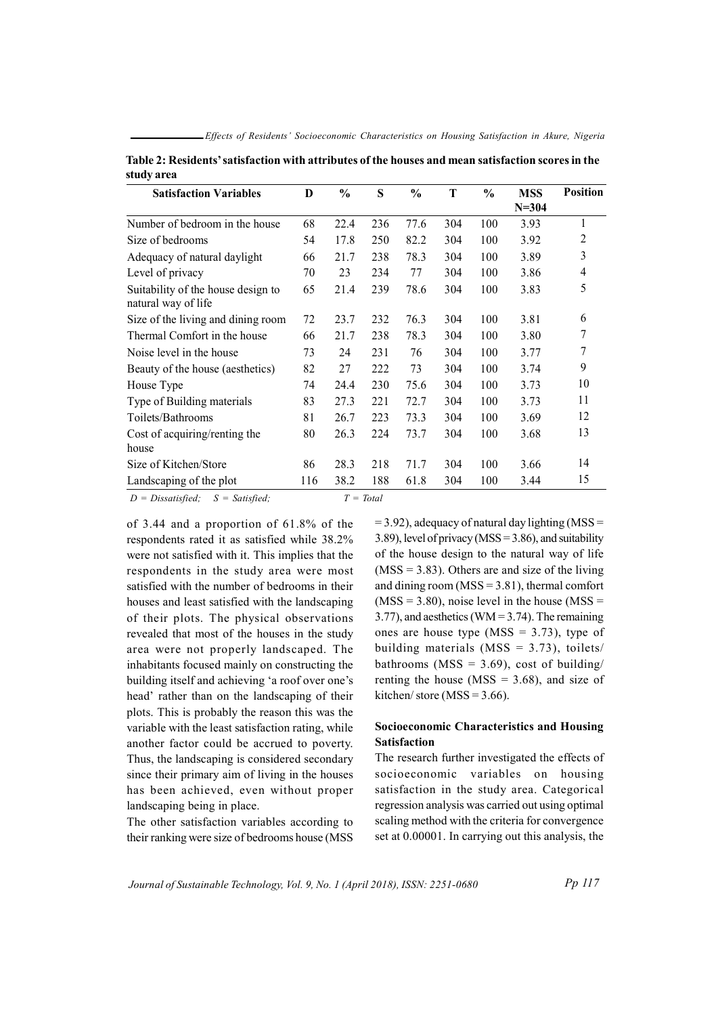| Table 2: Residents' satisfaction with attributes of the houses and mean satisfaction scores in the |  |  |  |
|----------------------------------------------------------------------------------------------------|--|--|--|
| study area                                                                                         |  |  |  |

| <b>Satisfaction Variables</b>                             | D   | $\frac{0}{0}$ | S   | $\frac{0}{0}$ | T   | $\frac{0}{0}$ | <b>MSS</b> | <b>Position</b> |
|-----------------------------------------------------------|-----|---------------|-----|---------------|-----|---------------|------------|-----------------|
|                                                           |     |               |     |               |     |               | $N = 304$  |                 |
| Number of bedroom in the house                            | 68  | 22.4          | 236 | 77.6          | 304 | 100           | 3.93       |                 |
| Size of bedrooms                                          | 54  | 17.8          | 250 | 82.2          | 304 | 100           | 3.92       | $\overline{c}$  |
| Adequacy of natural daylight                              | 66  | 21.7          | 238 | 78.3          | 304 | 100           | 3.89       | 3               |
| Level of privacy                                          | 70  | 23            | 234 | 77            | 304 | 100           | 3.86       | 4               |
| Suitability of the house design to<br>natural way of life | 65  | 21.4          | 239 | 78.6          | 304 | 100           | 3.83       | 5               |
| Size of the living and dining room                        | 72  | 23.7          | 232 | 76.3          | 304 | 100           | 3.81       | 6               |
| Thermal Comfort in the house                              | 66  | 21.7          | 238 | 78.3          | 304 | 100           | 3.80       | 7               |
| Noise level in the house                                  | 73  | 24            | 231 | 76            | 304 | 100           | 3.77       | 7               |
| Beauty of the house (aesthetics)                          | 82  | 27            | 222 | 73            | 304 | 100           | 3.74       | 9               |
| House Type                                                | 74  | 24.4          | 230 | 75.6          | 304 | 100           | 3.73       | 10              |
| Type of Building materials                                | 83  | 27.3          | 221 | 72.7          | 304 | 100           | 3.73       | 11              |
| Toilets/Bathrooms                                         | 81  | 26.7          | 223 | 73.3          | 304 | 100           | 3.69       | 12              |
| Cost of acquiring/renting the                             | 80  | 26.3          | 224 | 73.7          | 304 | 100           | 3.68       | 13              |
| house                                                     |     |               |     |               |     |               |            |                 |
| Size of Kitchen/Store                                     | 86  | 28.3          | 218 | 71.7          | 304 | 100           | 3.66       | 14              |
| Landscaping of the plot                                   | 116 | 38.2          | 188 | 61.8          | 304 | 100           | 3.44       | 15              |

 $D = Dissatisfied;$   $S = Satisfied;$   $T = Total$ 

of 3.44 and a proportion of 61.8% of the respondents rated it as satisfied while 38.2% were not satisfied with it. This implies that the respondents in the study area were most satisfied with the number of bedrooms in their houses and least satisfied with the landscaping of their plots. The physical observations revealed that most of the houses in the study area were not properly landscaped. The inhabitants focused mainly on constructing the building itself and achieving 'a roof over one's head' rather than on the landscaping of their plots. This is probably the reason this was the variable with the least satisfaction rating, while another factor could be accrued to poverty. Thus, the landscaping is considered secondary since their primary aim of living in the houses has been achieved, even without proper landscaping being in place.

The other satisfaction variables according to their ranking were size of bedrooms house (MSS  $= 3.92$ ), adequacy of natural day lighting (MSS = 3.89), level of privacy (MSS = 3.86), and suitability of the house design to the natural way of life  $(MSS = 3.83)$ . Others are and size of the living and dining room  $(MSS = 3.81)$ , thermal comfort  $(MSS = 3.80)$ , noise level in the house  $(MSS = 3.80)$ 3.77), and aesthetics (WM =  $3.74$ ). The remaining ones are house type  $(MSS = 3.73)$ , type of building materials (MSS =  $3.73$ ), toilets/ bathrooms (MSS = 3.69), cost of building/ renting the house ( $MSS = 3.68$ ), and size of kitchen/ store (MSS =  $3.66$ ).

# Socioeconomic Characteristics and Housing Satisfaction

The research further investigated the effects of socioeconomic variables on housing satisfaction in the study area. Categorical regression analysis was carried out using optimal scaling method with the criteria for convergence set at 0.00001. In carrying out this analysis, the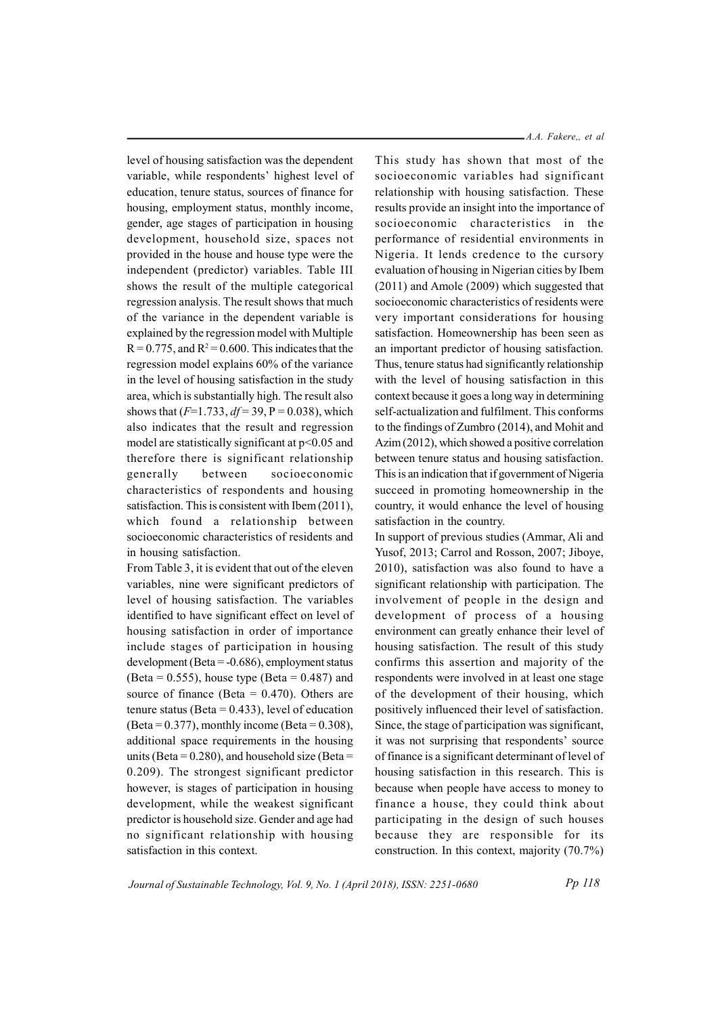level of housing satisfaction was the dependent variable, while respondents' highest level of education, tenure status, sources of finance for housing, employment status, monthly income, gender, age stages of participation in housing development, household size, spaces not provided in the house and house type were the independent (predictor) variables. Table III shows the result of the multiple categorical regression analysis. The result shows that much of the variance in the dependent variable is explained by the regression model with Multiple  $R = 0.775$ , and  $R^2 = 0.600$ . This indicates that the regression model explains 60% of the variance in the level of housing satisfaction in the study area, which is substantially high. The result also shows that  $(F=1.733, df=39, P=0.038)$ , which also indicates that the result and regression model are statistically significant at  $p<0.05$  and therefore there is significant relationship generally between socioeconomic characteristics of respondents and housing satisfaction. This is consistent with Ibem (2011), which found a relationship between socioeconomic characteristics of residents and in housing satisfaction.

From Table 3, it is evident that out of the eleven variables, nine were significant predictors of level of housing satisfaction. The variables identified to have significant effect on level of housing satisfaction in order of importance include stages of participation in housing development (Beta = -0.686), employment status (Beta =  $0.555$ ), house type (Beta =  $0.487$ ) and source of finance (Beta =  $0.470$ ). Others are tenure status (Beta =  $0.433$ ), level of education (Beta =  $0.377$ ), monthly income (Beta =  $0.308$ ), additional space requirements in the housing units (Beta =  $0.280$ ), and household size (Beta = 0.209). The strongest significant predictor however, is stages of participation in housing development, while the weakest significant predictor is household size. Gender and age had no significant relationship with housing satisfaction in this context.

A.A. Fakere,, et al

This study has shown that most of the socioeconomic variables had significant relationship with housing satisfaction. These results provide an insight into the importance of socioeconomic characteristics in the performance of residential environments in Nigeria. It lends credence to the cursory evaluation of housing in Nigerian cities by Ibem (2011) and Amole (2009) which suggested that socioeconomic characteristics of residents were very important considerations for housing satisfaction. Homeownership has been seen as an important predictor of housing satisfaction. Thus, tenure status had significantly relationship with the level of housing satisfaction in this context because it goes a long way in determining self-actualization and fulfilment. This conforms to the findings of Zumbro (2014), and Mohit and Azim (2012), which showed a positive correlation between tenure status and housing satisfaction. This is an indication that if government of Nigeria succeed in promoting homeownership in the country, it would enhance the level of housing satisfaction in the country.

In support of previous studies (Ammar, Ali and Yusof, 2013; Carrol and Rosson, 2007; Jiboye, 2010), satisfaction was also found to have a significant relationship with participation. The involvement of people in the design and development of process of a housing environment can greatly enhance their level of housing satisfaction. The result of this study confirms this assertion and majority of the respondents were involved in at least one stage of the development of their housing, which positively influenced their level of satisfaction. Since, the stage of participation was significant, it was not surprising that respondents' source of finance is a significant determinant of level of housing satisfaction in this research. This is because when people have access to money to finance a house, they could think about participating in the design of such houses because they are responsible for its construction. In this context, majority (70.7%)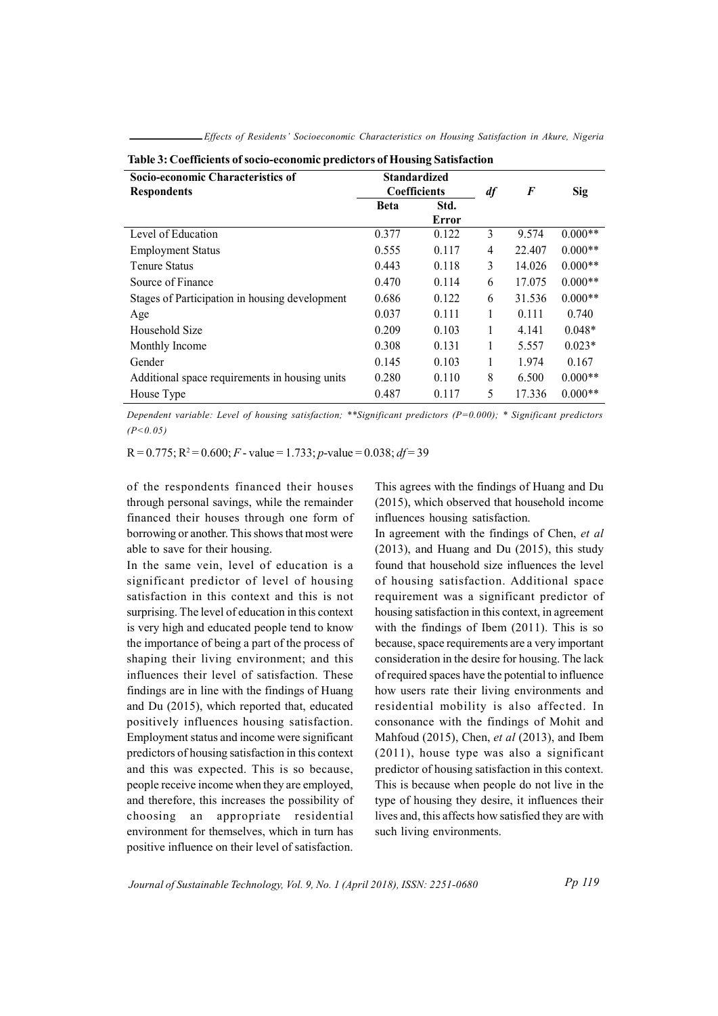| Socio-economic Characteristics of              |                     | <b>Standardized</b> |                |          |            |
|------------------------------------------------|---------------------|---------------------|----------------|----------|------------|
| <b>Respondents</b>                             | <b>Coefficients</b> |                     | df             | $\bm{F}$ | <b>Sig</b> |
|                                                | <b>Beta</b>         | Std.                |                |          |            |
|                                                |                     | Error               |                |          |            |
| Level of Education                             | 0.377               | 0.122               | 3              | 9.574    | $0.000**$  |
| <b>Employment Status</b>                       | 0.555               | 0.117               | $\overline{4}$ | 22.407   | $0.000**$  |
| <b>Tenure Status</b>                           | 0.443               | 0.118               | 3              | 14.026   | $0.000**$  |
| Source of Finance                              | 0.470               | 0.114               | 6              | 17.075   | $0.000**$  |
| Stages of Participation in housing development | 0.686               | 0.122               | 6              | 31.536   | $0.000**$  |
| Age                                            | 0.037               | 0.111               | 1              | 0.111    | 0.740      |
| Household Size                                 | 0.209               | 0.103               |                | 4.141    | $0.048*$   |
| Monthly Income                                 | 0.308               | 0.131               |                | 5.557    | $0.023*$   |
| Gender                                         | 0.145               | 0.103               |                | 1.974    | 0.167      |
| Additional space requirements in housing units | 0.280               | 0.110               | 8              | 6.500    | $0.000**$  |
| House Type                                     | 0.487               | 0.117               | 5              | 17.336   | $0.000**$  |

Effects of Residents' Socioeconomic Characteristics on Housing Satisfaction in Akure, Nigeria

Table 3: Coefficients of socio-economic predictors of Housing Satisfaction

Dependent variable: Level of housing satisfaction; \*\*Significant predictors  $(P=0.000)$ ; \* Significant predictors  $(P<0.05)$ 

 $R = 0.775$ ;  $R^2 = 0.600$ ;  $F -$ value = 1.733; p-value = 0.038;  $df = 39$ 

of the respondents financed their houses through personal savings, while the remainder financed their houses through one form of borrowing or another. This shows that most were able to save for their housing.

In the same vein, level of education is a significant predictor of level of housing satisfaction in this context and this is not surprising. The level of education in this context is very high and educated people tend to know the importance of being a part of the process of shaping their living environment; and this influences their level of satisfaction. These findings are in line with the findings of Huang and Du (2015), which reported that, educated positively influences housing satisfaction. Employment status and income were significant predictors of housing satisfaction in this context and this was expected. This is so because, people receive income when they are employed, and therefore, this increases the possibility of choosing an appropriate residential environment for themselves, which in turn has positive influence on their level of satisfaction.

This agrees with the findings of Huang and Du (2015), which observed that household income influences housing satisfaction.

In agreement with the findings of Chen, et al (2013), and Huang and Du (2015), this study found that household size influences the level of housing satisfaction. Additional space requirement was a significant predictor of housing satisfaction in this context, in agreement with the findings of Ibem (2011). This is so because, space requirements are a very important consideration in the desire for housing. The lack of required spaces have the potential to influence how users rate their living environments and residential mobility is also affected. In consonance with the findings of Mohit and Mahfoud (2015), Chen, et al (2013), and Ibem (2011), house type was also a significant predictor of housing satisfaction in this context. This is because when people do not live in the type of housing they desire, it influences their lives and, this affects how satisfied they are with such living environments.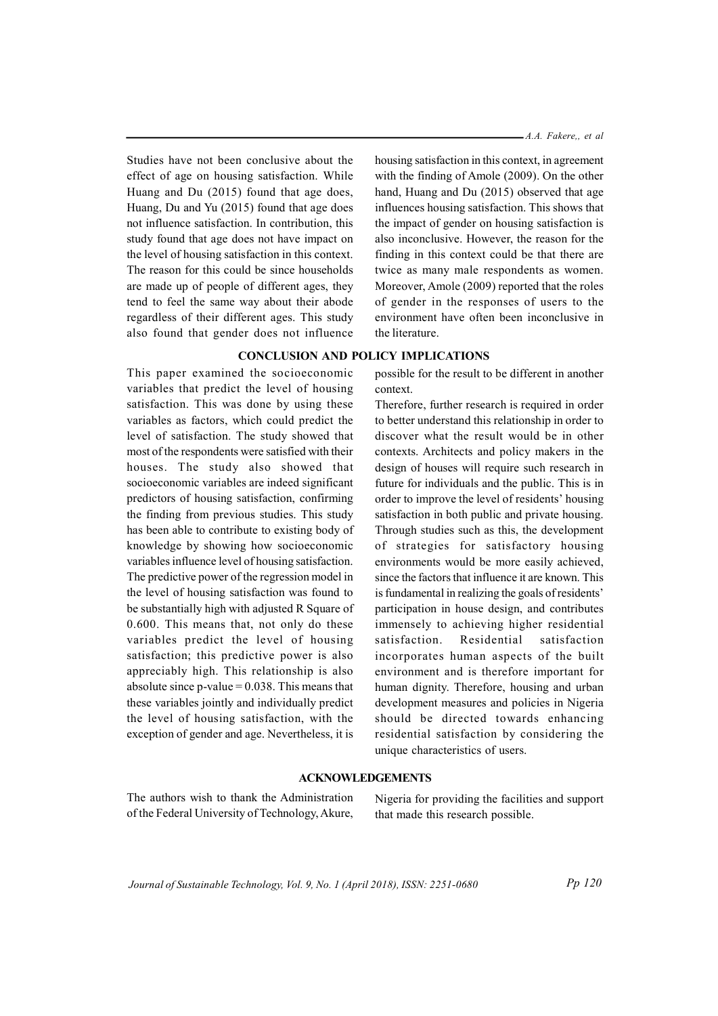A.A. Fakere,, et al

Studies have not been conclusive about the effect of age on housing satisfaction. While Huang and Du (2015) found that age does, Huang, Du and Yu (2015) found that age does not influence satisfaction. In contribution, this study found that age does not have impact on the level of housing satisfaction in this context. The reason for this could be since households are made up of people of different ages, they tend to feel the same way about their abode regardless of their different ages. This study also found that gender does not influence

This paper examined the socioeconomic variables that predict the level of housing satisfaction. This was done by using these variables as factors, which could predict the level of satisfaction. The study showed that most of the respondents were satisfied with their houses. The study also showed that socioeconomic variables are indeed significant predictors of housing satisfaction, confirming the finding from previous studies. This study has been able to contribute to existing body of knowledge by showing how socioeconomic variables influence level of housing satisfaction. The predictive power of the regression model in the level of housing satisfaction was found to be substantially high with adjusted R Square of 0.600. This means that, not only do these variables predict the level of housing satisfaction; this predictive power is also appreciably high. This relationship is also absolute since  $p$ -value = 0.038. This means that these variables jointly and individually predict the level of housing satisfaction, with the exception of gender and age. Nevertheless, it is

CONCLUSION AND POLICY IMPLICATIONS

the literature.

possible for the result to be different in another context.

housing satisfaction in this context, in agreement with the finding of Amole (2009). On the other hand, Huang and Du (2015) observed that age influences housing satisfaction. This shows that the impact of gender on housing satisfaction is also inconclusive. However, the reason for the finding in this context could be that there are twice as many male respondents as women. Moreover, Amole (2009) reported that the roles of gender in the responses of users to the environment have often been inconclusive in

Therefore, further research is required in order to better understand this relationship in order to discover what the result would be in other contexts. Architects and policy makers in the design of houses will require such research in future for individuals and the public. This is in order to improve the level of residents' housing satisfaction in both public and private housing. Through studies such as this, the development of strategies for satisfactory housing environments would be more easily achieved, since the factors that influence it are known. This is fundamental in realizing the goals of residents' participation in house design, and contributes immensely to achieving higher residential satisfaction. Residential satisfaction incorporates human aspects of the built environment and is therefore important for human dignity. Therefore, housing and urban development measures and policies in Nigeria should be directed towards enhancing residential satisfaction by considering the unique characteristics of users.

### ACKNOWLEDGEMENTS

The authors wish to thank the Administration of the Federal University of Technology, Akure, Nigeria for providing the facilities and support that made this research possible.

Journal of Sustainable Technology, Vol. 9, No. 1 (April 2018), ISSN: 2251-0680

Pp 120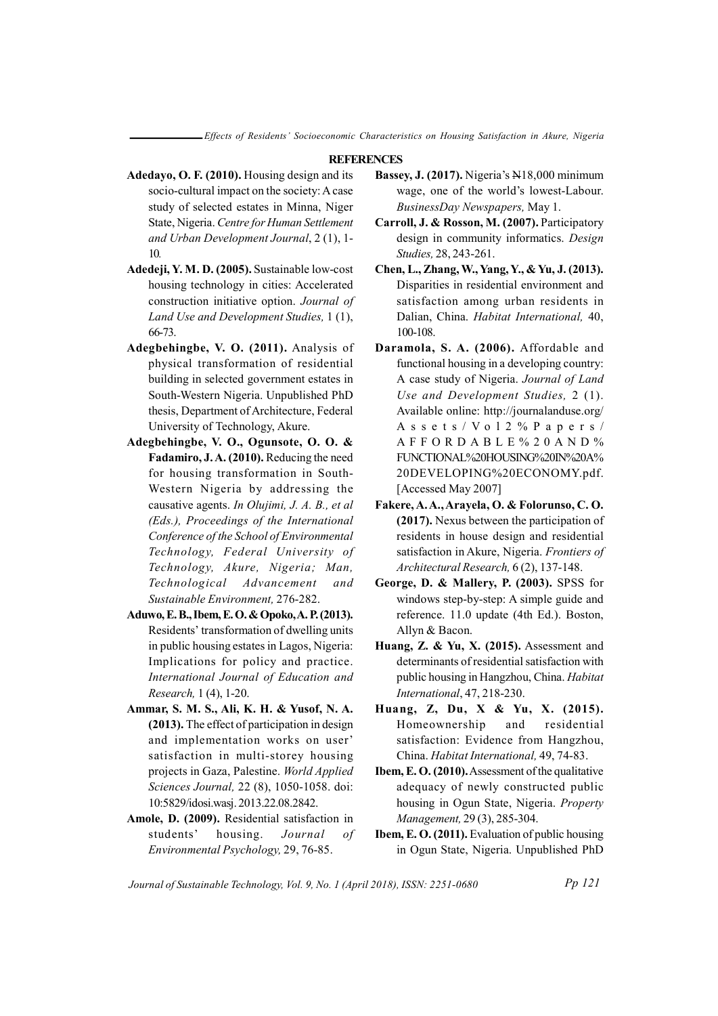#### **REFERENCES**

- Adedayo, O. F. (2010). Housing design and its socio-cultural impact on the society: A case study of selected estates in Minna, Niger State, Nigeria. Centre for Human Settlement and Urban Development Journal, 2 (1), 1- 10.
- Adedeji, Y. M. D. (2005). Sustainable low-cost housing technology in cities: Accelerated construction initiative option. Journal of Land Use and Development Studies, 1 (1), 66-73.
- Adegbehingbe, V. O. (2011). Analysis of physical transformation of residential building in selected government estates in South-Western Nigeria. Unpublished PhD thesis, Department of Architecture, Federal University of Technology, Akure.
- Adegbehingbe, V. O., Ogunsote, O. O. & Fadamiro, J. A. (2010). Reducing the need for housing transformation in South-Western Nigeria by addressing the causative agents. In Olujimi, J. A. B., et al (Eds.), Proceedings of the International Conference of the School of Environmental Technology, Federal University of Technology, Akure, Nigeria; Man, Technological Advancement and Sustainable Environment, 276-282.
- Aduwo, E. B., Ibem, E. O. & Opoko, A. P. (2013). Residents' transformation of dwelling units in public housing estates in Lagos, Nigeria: Implications for policy and practice. International Journal of Education and Research, 1 (4), 1-20.
- Ammar, S. M. S., Ali, K. H. & Yusof, N. A. (2013). The effect of participation in design and implementation works on user' satisfaction in multi-storey housing projects in Gaza, Palestine. World Applied Sciences Journal, 22 (8), 1050-1058. doi: 10:5829/idosi.wasj. 2013.22.08.2842.
- Amole, D. (2009). Residential satisfaction in students' housing. Journal of Environmental Psychology, 29, 76-85.
- Bassey, J. (2017). Nigeria's N18,000 minimum wage, one of the world's lowest-Labour. BusinessDay Newspapers, May 1.
- Carroll, J. & Rosson, M. (2007). Participatory design in community informatics. Design Studies, 28, 243-261.
- Chen, L., Zhang, W., Yang, Y., & Yu, J. (2013). Disparities in residential environment and satisfaction among urban residents in Dalian, China. Habitat International, 40, 100-108.
- Daramola, S. A. (2006). Affordable and functional housing in a developing country: A case study of Nigeria. Journal of Land Use and Development Studies, 2 (1). Available online: http://journalanduse.org/ A s s e t s / V o l 2 % P a p e r s / A F F O R D A B L E % 2 0 A N D % FUNCTIONAL%20HOUSING%20IN%20A% 20DEVELOPING%20ECONOMY.pdf. [Accessed May 2007]
- Fakere, A. A., Arayela, O. & Folorunso, C. O. (2017). Nexus between the participation of residents in house design and residential satisfaction in Akure, Nigeria. Frontiers of Architectural Research, 6 (2), 137-148.
- George, D. & Mallery, P. (2003). SPSS for windows step-by-step: A simple guide and reference. 11.0 update (4th Ed.). Boston, Allyn & Bacon.
- Huang, Z. & Yu, X. (2015). Assessment and determinants of residential satisfaction with public housing in Hangzhou, China. Habitat International, 47, 218-230.
- Huang, Z, Du, X & Yu, X. (2015). Homeownership and residential satisfaction: Evidence from Hangzhou, China. Habitat International, 49, 74-83.
- Ibem, E. O. (2010). Assessment of the qualitative adequacy of newly constructed public housing in Ogun State, Nigeria. Property Management, 29 (3), 285-304.
- Ibem, E. O. (2011). Evaluation of public housing in Ogun State, Nigeria. Unpublished PhD